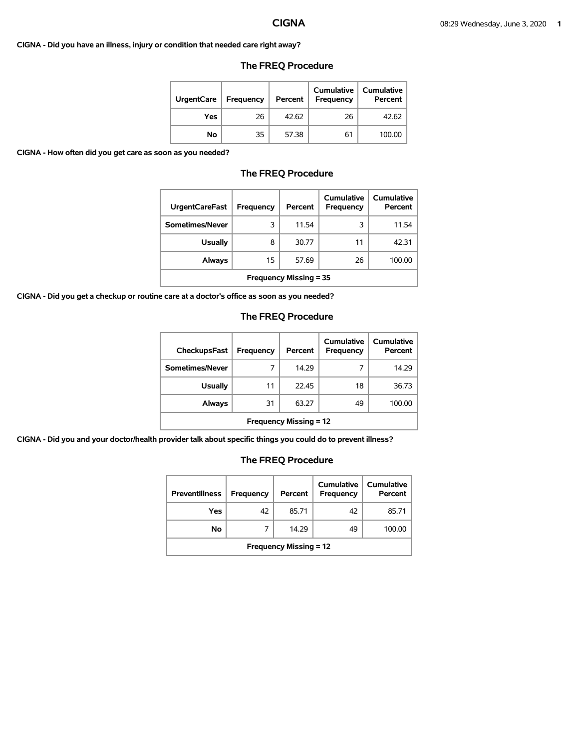### **CIGNA - Did you have an illness, injury or condition that needed care right away?**

| <b>UrgentCare</b> | <b>Frequency</b> | Percent | Cumulative<br><b>Frequency</b> | <b>Cumulative</b><br>Percent |
|-------------------|------------------|---------|--------------------------------|------------------------------|
| Yes               | 26               | 42.62   | 26                             | 42.62                        |
| No                | 35               | 57.38   | 61                             | 100.00                       |

## **The FREQ Procedure**

**CIGNA - How often did you get care as soon as you needed?** 

## **The FREQ Procedure**

| <b>UrgentCareFast</b>         | Frequency | Percent | Cumulative<br>Frequency | Cumulative<br>Percent |  |
|-------------------------------|-----------|---------|-------------------------|-----------------------|--|
| Sometimes/Never               | 3         | 11.54   | 3                       | 11.54                 |  |
| <b>Usually</b>                | 8         | 30.77   | 11                      | 42.31                 |  |
| <b>Always</b>                 | 15        | 57.69   | 26                      | 100.00                |  |
| <b>Frequency Missing = 35</b> |           |         |                         |                       |  |

**CIGNA - Did you get a checkup or routine care at a doctor's office as soon as you needed?** 

# **The FREQ Procedure**

| <b>CheckupsFast</b>           | Frequency | Percent | Cumulative<br>Frequency | Cumulative<br>Percent |  |
|-------------------------------|-----------|---------|-------------------------|-----------------------|--|
| Sometimes/Never               | 7         | 14.29   |                         | 14.29                 |  |
| <b>Usually</b>                | 11        | 22.45   | 18                      | 36.73                 |  |
| Always                        | 31        | 63.27   | 49                      | 100.00                |  |
| <b>Frequency Missing = 12</b> |           |         |                         |                       |  |

**CIGNA - Did you and your doctor/health provider talk about specific things you could do to prevent illness?** 

| <b>Preventillness</b>         | <b>Frequency</b> | Percent | Cumulative<br><b>Frequency</b> | <b>Cumulative</b><br>Percent |
|-------------------------------|------------------|---------|--------------------------------|------------------------------|
| Yes                           | 42               | 85.71   | 42                             | 85.71                        |
| No                            |                  | 14.29   | 49                             | 100.00                       |
| <b>Frequency Missing = 12</b> |                  |         |                                |                              |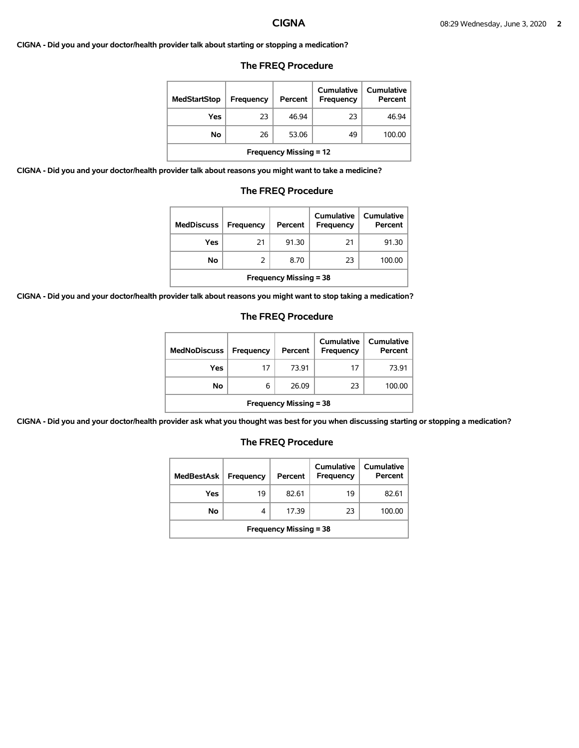**CIGNA - Did you and your doctor/health provider talk about starting or stopping a medication?** 

### **The FREQ Procedure**

| <b>MedStartStop</b>           | Frequency | Percent | Cumulative<br>Frequency | Cumulative<br>Percent |  |
|-------------------------------|-----------|---------|-------------------------|-----------------------|--|
| Yes                           | 23        | 46.94   | 23                      | 46.94                 |  |
| No.                           | 26        | 53.06   | 49                      | 100.00                |  |
| <b>Frequency Missing = 12</b> |           |         |                         |                       |  |

**CIGNA - Did you and your doctor/health provider talk about reasons you might want to take a medicine?** 

### **The FREQ Procedure**

| <b>MedDiscuss</b>             | Frequency | Percent | Cumulative<br>Frequency | Cumulative<br>Percent |  |
|-------------------------------|-----------|---------|-------------------------|-----------------------|--|
| Yes                           | 21        | 91.30   | 21                      | 91.30                 |  |
| No.                           |           | 8.70    | 23                      | 100.00                |  |
| <b>Frequency Missing = 38</b> |           |         |                         |                       |  |

**CIGNA - Did you and your doctor/health provider talk about reasons you might want to stop taking a medication?** 

### **The FREQ Procedure**

| <b>MedNoDiscuss</b>           | <b>Frequency</b> | Percent | <b>Cumulative</b><br>Frequency | <b>Cumulative</b><br>Percent |  |
|-------------------------------|------------------|---------|--------------------------------|------------------------------|--|
| Yes                           | 17               | 73.91   | 17                             | 73.91                        |  |
| No                            | 6                | 26.09   | 23                             | 100.00                       |  |
| <b>Frequency Missing = 38</b> |                  |         |                                |                              |  |

**CIGNA - Did you and your doctor/health provider ask what you thought was best for you when discussing starting or stopping a medication?** 

| <b>MedBestAsk</b>             | Frequency | Percent | Cumulative<br>Frequency | Cumulative<br>Percent |  |
|-------------------------------|-----------|---------|-------------------------|-----------------------|--|
| Yes                           | 19        | 82.61   | 19                      | 82.61                 |  |
| No                            | 4         | 17.39   | 23                      | 100.00                |  |
| <b>Frequency Missing = 38</b> |           |         |                         |                       |  |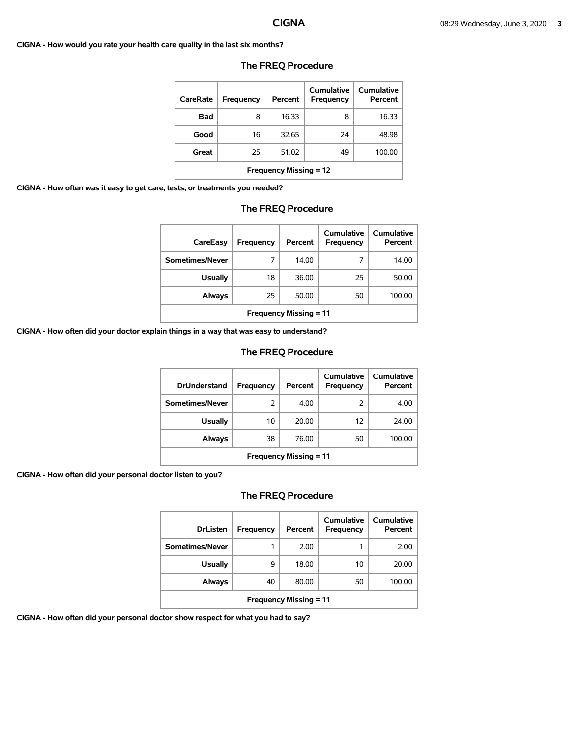**CIGNA - How would you rate your health care quality in the last six months?** 

| CareRate                      | Frequency | Percent | Cumulative<br>Frequency | Cumulative<br>Percent |  |
|-------------------------------|-----------|---------|-------------------------|-----------------------|--|
| Bad                           | 8         | 16.33   | 8                       | 16.33                 |  |
| Good                          | 16        | 32.65   | 24                      | 48.98                 |  |
| Great                         | 25        | 51.02   | 49                      | 100.00                |  |
| <b>Frequency Missing = 12</b> |           |         |                         |                       |  |

### **The FREQ Procedure**

**CIGNA - How often was it easy to get care, tests, or treatments you needed?** 

# **The FREQ Procedure**

| CareEasy                      | Frequency | Percent | Cumulative<br>Frequency | Cumulative<br>Percent |  |
|-------------------------------|-----------|---------|-------------------------|-----------------------|--|
| Sometimes/Never               |           | 14.00   |                         | 14.00                 |  |
| <b>Usually</b>                | 18        | 36.00   | 25                      | 50.00                 |  |
| Always                        | 25        | 50.00   | 50                      | 100.00                |  |
| <b>Frequency Missing = 11</b> |           |         |                         |                       |  |

**CIGNA - How often did your doctor explain things in a way that was easy to understand?** 

## **The FREQ Procedure**

| <b>DrUnderstand</b>           | Frequency | Percent | Cumulative<br>Frequency | Cumulative<br>Percent |  |
|-------------------------------|-----------|---------|-------------------------|-----------------------|--|
| Sometimes/Never               | 2         | 4.00    | 2                       | 4.00                  |  |
| <b>Usually</b>                | 10        | 20.00   | 12                      | 24.00                 |  |
| <b>Always</b>                 | 38        | 76.00   | 50                      | 100.00                |  |
| <b>Frequency Missing = 11</b> |           |         |                         |                       |  |

**CIGNA - How often did your personal doctor listen to you?** 

# **The FREQ Procedure**

| <b>DrListen</b>               | Frequency | Percent | Cumulative<br>Frequency | Cumulative<br>Percent |  |
|-------------------------------|-----------|---------|-------------------------|-----------------------|--|
| Sometimes/Never               | 1         | 2.00    |                         | 2.00                  |  |
| <b>Usually</b>                | 9         | 18.00   | 10                      | 20.00                 |  |
| <b>Always</b>                 | 40        | 80.00   | 50                      | 100.00                |  |
| <b>Frequency Missing = 11</b> |           |         |                         |                       |  |

**CIGNA - How often did your personal doctor show respect for what you had to say?**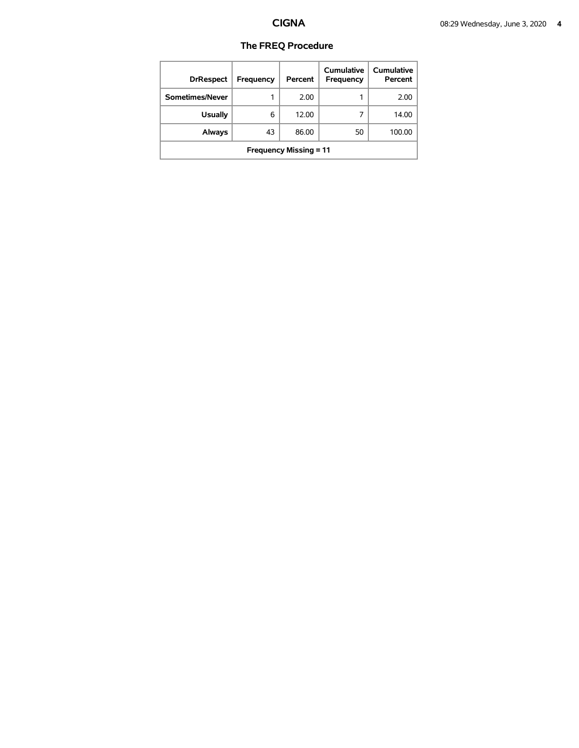| <b>DrRespect</b>              | Frequency | Percent | Cumulative<br>Frequency | Cumulative<br>Percent |
|-------------------------------|-----------|---------|-------------------------|-----------------------|
| Sometimes/Never               |           | 2.00    |                         | 2.00                  |
| <b>Usually</b>                | 6         | 12.00   | 7                       | 14.00                 |
| Always                        | 43        | 86.00   | 50                      | 100.00                |
| <b>Frequency Missing = 11</b> |           |         |                         |                       |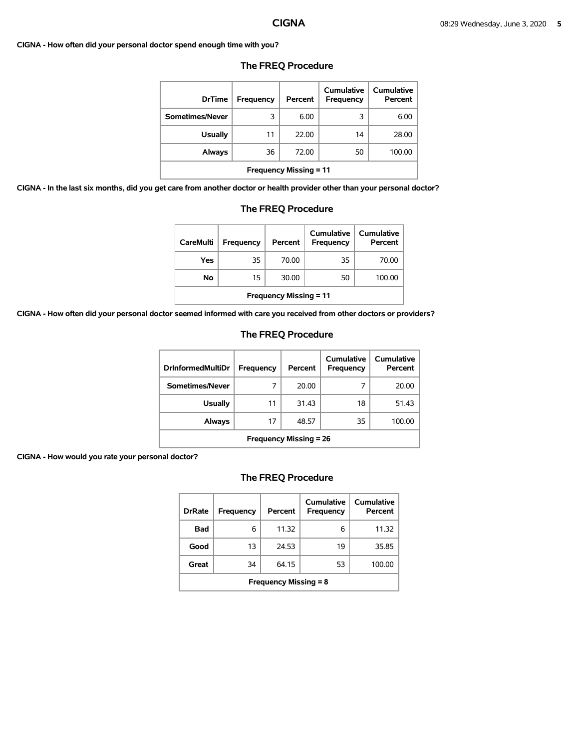### **CIGNA - How often did your personal doctor spend enough time with you?**

| <b>DrTime</b>                 | Frequency | Percent | Cumulative<br><b>Frequency</b> | Cumulative<br>Percent |
|-------------------------------|-----------|---------|--------------------------------|-----------------------|
| Sometimes/Never               | 3         | 6.00    | 3                              | 6.00                  |
| <b>Usually</b>                | 11        | 22.00   | 14                             | 28.00                 |
| Always                        | 36        | 72.00   | 50                             | 100.00                |
| <b>Frequency Missing = 11</b> |           |         |                                |                       |

### **The FREQ Procedure**

**CIGNA - In the last six months, did you get care from another doctor or health provider other than your personal doctor?** 

| care from another doctor or health provider other than your personal |    |       |    |        |  |  |
|----------------------------------------------------------------------|----|-------|----|--------|--|--|
| <b>Frequency Missing = 11</b>                                        |    |       |    |        |  |  |
| Always                                                               | 36 | 72.00 | 50 | 100.00 |  |  |
| <b>Usually</b>                                                       | 11 | 22.00 | 14 | 28.00  |  |  |
| Sometimes/Never                                                      | 3  | 6.00  |    | 6.00   |  |  |
|                                                                      |    |       |    |        |  |  |

### **The FREQ Procedure**

| <b>CareMulti</b>              | Frequency | Percent | Cumulative<br>Frequency | Cumulative<br>Percent |  |
|-------------------------------|-----------|---------|-------------------------|-----------------------|--|
| Yes                           | 35        | 70.00   | 35                      | 70.00                 |  |
| No                            | 15        | 30.00   | 50                      | 100.00                |  |
| <b>Frequency Missing = 11</b> |           |         |                         |                       |  |

**CIGNA - How often did your personal doctor seemed informed with care you received from other doctors or providers?** 

### **The FREQ Procedure**

| <b>DrinformedMultiDr</b>      | Frequency | Percent | Cumulative<br><b>Frequency</b> | Cumulative<br>Percent |  |
|-------------------------------|-----------|---------|--------------------------------|-----------------------|--|
| Sometimes/Never               |           | 20.00   |                                | 20.00                 |  |
| Usually                       | 11        | 31.43   | 18                             | 51.43                 |  |
| Always                        | 17        | 48.57   | 35                             | 100.00                |  |
| <b>Frequency Missing = 26</b> |           |         |                                |                       |  |

### **CIGNA - How would you rate your personal doctor?**

| <b>DrRate</b>                | <b>Frequency</b> | Percent | Cumulative<br>Frequency | Cumulative<br>Percent |  |
|------------------------------|------------------|---------|-------------------------|-----------------------|--|
| Bad                          | 6                | 11.32   | 6                       | 11.32                 |  |
| Good                         | 13               | 24.53   | 19                      | 35.85                 |  |
| Great                        | 34               | 64.15   | 53                      | 100.00                |  |
| <b>Frequency Missing = 8</b> |                  |         |                         |                       |  |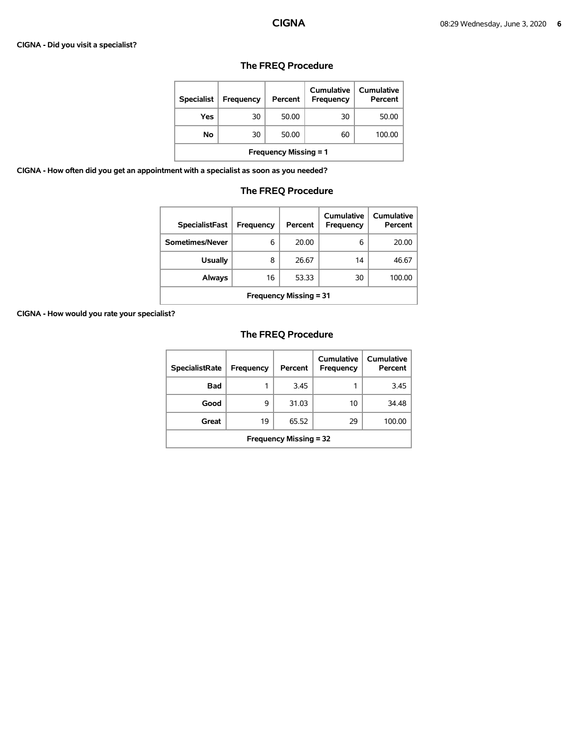### **CIGNA - Did you visit a specialist?**

| <b>Specialist</b>            | <b>Frequency</b> | Percent | Cumulative<br><b>Frequency</b> | Cumulative<br>Percent |  |
|------------------------------|------------------|---------|--------------------------------|-----------------------|--|
| Yes                          | 30               | 50.00   | 30                             | 50.00                 |  |
| Νo                           | 30               | 50.00   | 60                             | 100.00                |  |
| <b>Frequency Missing = 1</b> |                  |         |                                |                       |  |

# **The FREQ Procedure**

**CIGNA - How often did you get an appointment with a specialist as soon as you needed?** 

# **The FREQ Procedure**

| <b>SpecialistFast</b>         | Frequency | Percent | Cumulative<br>Frequency | Cumulative<br>Percent |
|-------------------------------|-----------|---------|-------------------------|-----------------------|
| Sometimes/Never               | 6         | 20.00   | 6                       | 20.00                 |
| <b>Usually</b>                | 8         | 26.67   | 14                      | 46.67                 |
| <b>Always</b>                 | 16        | 53.33   | 30                      | 100.00                |
| <b>Frequency Missing = 31</b> |           |         |                         |                       |

**CIGNA - How would you rate your specialist?** 

| <b>SpecialistRate</b>         | Frequency | Percent | Cumulative<br>Frequency | Cumulative<br>Percent |  |
|-------------------------------|-----------|---------|-------------------------|-----------------------|--|
| <b>Bad</b>                    | 1         | 3.45    |                         | 3.45                  |  |
| Good                          | 9         | 31.03   | 10                      | 34.48                 |  |
| Great                         | 19        | 65.52   | 29                      | 100.00                |  |
| <b>Frequency Missing = 32</b> |           |         |                         |                       |  |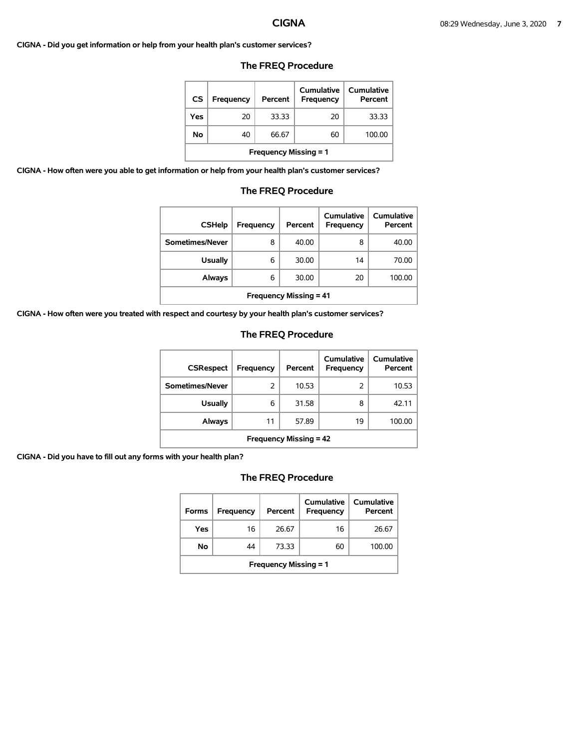**CIGNA - Did you get information or help from your health plan's customer services?** 

# **The FREQ Procedure**

| <b>CS</b> | <b>Frequency</b>             | Percent | Cumulative<br>Frequency | Cumulative<br>Percent |  |  |  |
|-----------|------------------------------|---------|-------------------------|-----------------------|--|--|--|
| Yes       | 20                           | 33.33   | 20                      | 33.33                 |  |  |  |
| No        | 40                           | 66.67   | 60                      | 100.00                |  |  |  |
|           | <b>Frequency Missing = 1</b> |         |                         |                       |  |  |  |

**CIGNA - How often were you able to get information or help from your health plan's customer services?** 

## **The FREQ Procedure**

| <b>CSHelp</b>                 | Frequency | Percent | Cumulative<br><b>Frequency</b> | Cumulative<br>Percent |  |
|-------------------------------|-----------|---------|--------------------------------|-----------------------|--|
| Sometimes/Never               | 8         | 40.00   | 8                              | 40.00                 |  |
| <b>Usually</b>                | 6         | 30.00   | 14                             | 70.00                 |  |
| Always                        | 6         | 30.00   | 20                             | 100.00                |  |
| <b>Frequency Missing = 41</b> |           |         |                                |                       |  |

**CIGNA - How often were you treated with respect and courtesy by your health plan's customer services?** 

## **The FREQ Procedure**

| <b>CSRespect</b>              | Frequency | Percent | Cumulative<br>Frequency | Cumulative<br>Percent |  |
|-------------------------------|-----------|---------|-------------------------|-----------------------|--|
| Sometimes/Never               | 2         | 10.53   | 2                       | 10.53                 |  |
| <b>Usually</b>                | 6         | 31.58   | 8                       | 42.11                 |  |
| Always                        | 11        | 57.89   | 19                      | 100.00                |  |
| <b>Frequency Missing = 42</b> |           |         |                         |                       |  |

**CIGNA - Did you have to fill out any forms with your health plan?** 

| <b>Forms</b>                 | Frequency | Percent | Cumulative<br>Frequency | Cumulative<br>Percent |  |
|------------------------------|-----------|---------|-------------------------|-----------------------|--|
| Yes                          | 16        | 26.67   | 16                      | 26.67                 |  |
| No                           | 44        | 73.33   | 60                      | 100.00                |  |
| <b>Frequency Missing = 1</b> |           |         |                         |                       |  |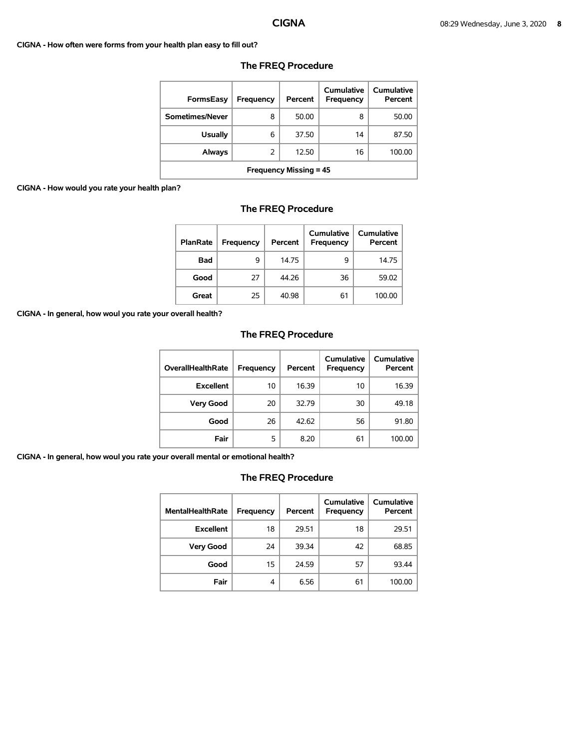### **CIGNA - How often were forms from your health plan easy to fill out?**

| <b>FormsEasy</b>              | Frequency | Percent | Cumulative<br>Frequency | Cumulative<br>Percent |  |
|-------------------------------|-----------|---------|-------------------------|-----------------------|--|
| Sometimes/Never               | 8         | 50.00   | 8                       | 50.00                 |  |
| <b>Usually</b>                | 6         | 37.50   | 14                      | 87.50                 |  |
| Always                        | 2         | 12.50   | 16                      | 100.00                |  |
| <b>Frequency Missing = 45</b> |           |         |                         |                       |  |

# **The FREQ Procedure**

### **CIGNA - How would you rate your health plan?**

# **The FREQ Procedure**

| <b>PlanRate</b> | Frequency | Percent | Cumulative<br>Frequency | <b>Cumulative</b><br>Percent |
|-----------------|-----------|---------|-------------------------|------------------------------|
| <b>Bad</b>      | 9         | 14.75   | 9                       | 14.75                        |
| Good            | 27        | 44.26   | 36                      | 59.02                        |
| Great           | 25        | 40.98   | 61                      | 100.00                       |

**CIGNA - In general, how woul you rate your overall health?** 

# **The FREQ Procedure**

| <b>OverallHealthRate</b> | Frequency | Percent | Cumulative<br><b>Frequency</b> | <b>Cumulative</b><br>Percent |
|--------------------------|-----------|---------|--------------------------------|------------------------------|
| <b>Excellent</b>         | 10        | 16.39   | 10                             | 16.39                        |
| <b>Very Good</b>         | 20        | 32.79   | 30                             | 49.18                        |
| Good                     | 26        | 42.62   | 56                             | 91.80                        |
| Fair                     | 5         | 8.20    | 61                             | 100.00                       |

**CIGNA - In general, how woul you rate your overall mental or emotional health?** 

| <b>MentalHealthRate</b> | Frequency | Percent | Cumulative<br><b>Frequency</b> | Cumulative<br>Percent |
|-------------------------|-----------|---------|--------------------------------|-----------------------|
| <b>Excellent</b>        | 18        | 29.51   | 18                             | 29.51                 |
| <b>Very Good</b>        | 24        | 39.34   | 42                             | 68.85                 |
| Good                    | 15        | 24.59   | 57                             | 93.44                 |
| Fair                    | 4         | 6.56    | 61                             | 100.00                |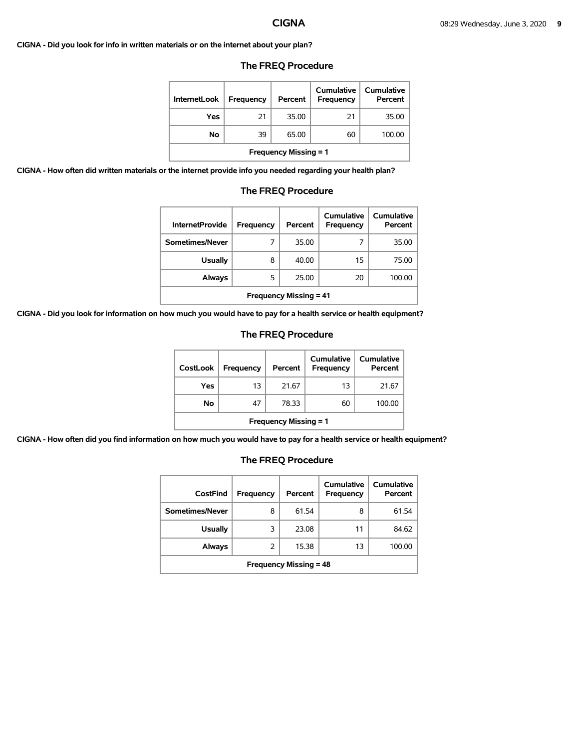**CIGNA - Did you look for info in written materials or on the internet about your plan?** 

| <b>InternetLook</b>          | Frequency | Percent | Cumulative<br><b>Frequency</b> | Cumulative<br>Percent |  |
|------------------------------|-----------|---------|--------------------------------|-----------------------|--|
| Yes                          | 21        | 35.00   | 21                             | 35.00                 |  |
| No                           | 39        | 65.00   | 60                             | 100.00                |  |
| <b>Frequency Missing = 1</b> |           |         |                                |                       |  |

### **The FREQ Procedure**

**CIGNA - How often did written materials or the internet provide info you needed regarding your health plan?** 

|  | <b>The FREQ Procedure</b> |          |
|--|---------------------------|----------|
|  |                           | e 1 - 11 |

| <b>InternetProvide</b>        | Frequency | Percent | Cumulative<br>Frequency | Cumulative<br>Percent |  |
|-------------------------------|-----------|---------|-------------------------|-----------------------|--|
| Sometimes/Never               |           | 35.00   |                         | 35.00                 |  |
| <b>Usually</b>                | 8         | 40.00   | 15                      | 75.00                 |  |
| <b>Always</b>                 | 5         | 25.00   | 20                      | 100.00                |  |
| <b>Frequency Missing = 41</b> |           |         |                         |                       |  |

**CIGNA - Did you look for information on how much you would have to pay for a health service or health equipment?** 

## **The FREQ Procedure**

| <b>CostLook</b>              | Frequency | Percent | Cumulative<br>Frequency | <b>Cumulative</b><br>Percent |  |
|------------------------------|-----------|---------|-------------------------|------------------------------|--|
| Yes                          | 13        | 21.67   | 13                      | 21.67                        |  |
| Νo                           | 47        | 78.33   | 60                      | 100.00                       |  |
| <b>Frequency Missing = 1</b> |           |         |                         |                              |  |

**CIGNA - How often did you find information on how much you would have to pay for a health service or health equipment?** 

| CostFind                      | Frequency | Percent | <b>Cumulative</b><br>Frequency | <b>Cumulative</b><br>Percent |  |
|-------------------------------|-----------|---------|--------------------------------|------------------------------|--|
| Sometimes/Never               | 8         | 61.54   | 8                              | 61.54                        |  |
| <b>Usually</b>                | 3         | 23.08   | 11                             | 84.62                        |  |
| <b>Always</b>                 | 2         | 15.38   | 13                             | 100.00                       |  |
| <b>Frequency Missing = 48</b> |           |         |                                |                              |  |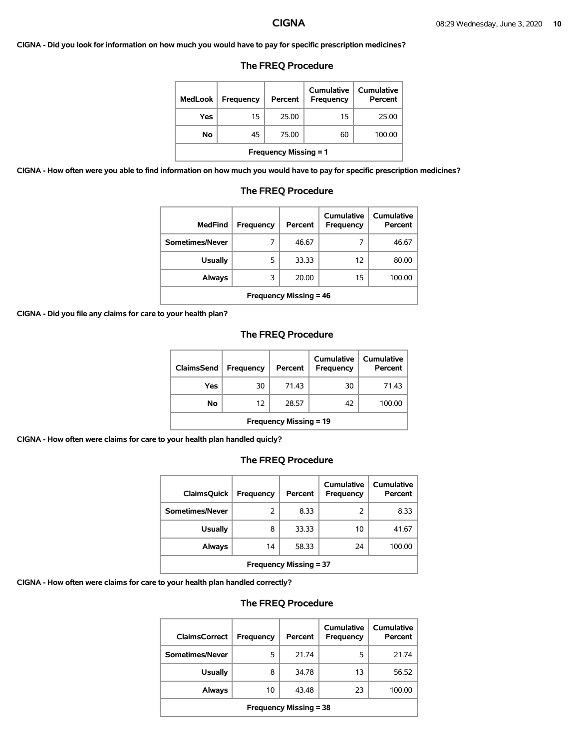**CIGNA - Did you look for information on how much you would have to pay for specific prescription medicines?** 

## **The FREQ Procedure**

| MedLook                      | <b>Frequency</b> | Percent | Cumulative<br>Frequency | Cumulative<br>Percent |  |
|------------------------------|------------------|---------|-------------------------|-----------------------|--|
| Yes                          | 15               | 25.00   | 15                      | 25.00                 |  |
| No                           | 45               | 75.00   | 60                      | 100.00                |  |
| <b>Frequency Missing = 1</b> |                  |         |                         |                       |  |

**CIGNA - How often were you able to find information on how much you would have to pay for specific prescription medicines?** 

| <b>MedFind</b>  | <b>Frequency</b> | Percent | <b>Cumulative</b><br>Frequency | Cumulative<br>Percent |
|-----------------|------------------|---------|--------------------------------|-----------------------|
| Sometimes/Never |                  | 46.67   |                                | 46.67                 |
| <b>Usually</b>  | 5                | 33.33   | 12                             | 80.00                 |
| <b>Always</b>   | 3                | 20.00   | 15                             | 100.00                |
|                 |                  |         |                                |                       |

# **The FREQ Procedure**

**Frequency Missing = 46** 

**CIGNA - Did you file any claims for care to your health plan?** 

### **The FREQ Procedure**

| ClaimsSend                    | <b>Frequency</b> | Percent | <b>Cumulative</b><br><b>Frequency</b> | Cumulative  <br>Percent |  |
|-------------------------------|------------------|---------|---------------------------------------|-------------------------|--|
| Yes                           | 30               | 71.43   | 30                                    | 71.43                   |  |
| No                            | 12               | 28.57   | 42                                    | 100.00                  |  |
| <b>Frequency Missing = 19</b> |                  |         |                                       |                         |  |

**CIGNA - How often were claims for care to your health plan handled quicly?** 

### **The FREQ Procedure**

| <b>ClaimsQuick</b>            | Frequency | Percent | Cumulative<br>Frequency | Cumulative<br>Percent |  |
|-------------------------------|-----------|---------|-------------------------|-----------------------|--|
| Sometimes/Never               | 2         | 8.33    | 2                       | 8.33                  |  |
| <b>Usually</b>                | 8         | 33.33   | 10                      | 41.67                 |  |
| <b>Always</b>                 | 14        | 58.33   | 24                      | 100.00                |  |
| <b>Frequency Missing = 37</b> |           |         |                         |                       |  |

**CIGNA - How often were claims for care to your health plan handled correctly?** 

| <b>ClaimsCorrect</b>          | <b>Frequency</b> | Percent | Cumulative<br>Frequency | Cumulative<br>Percent |  |  |
|-------------------------------|------------------|---------|-------------------------|-----------------------|--|--|
| Sometimes/Never               | 5                | 21.74   | 5                       | 21.74                 |  |  |
| <b>Usually</b>                | 8                | 34.78   | 13                      | 56.52                 |  |  |
| <b>Always</b>                 | 10               | 43.48   | 23                      | 100.00                |  |  |
| <b>Frequency Missing = 38</b> |                  |         |                         |                       |  |  |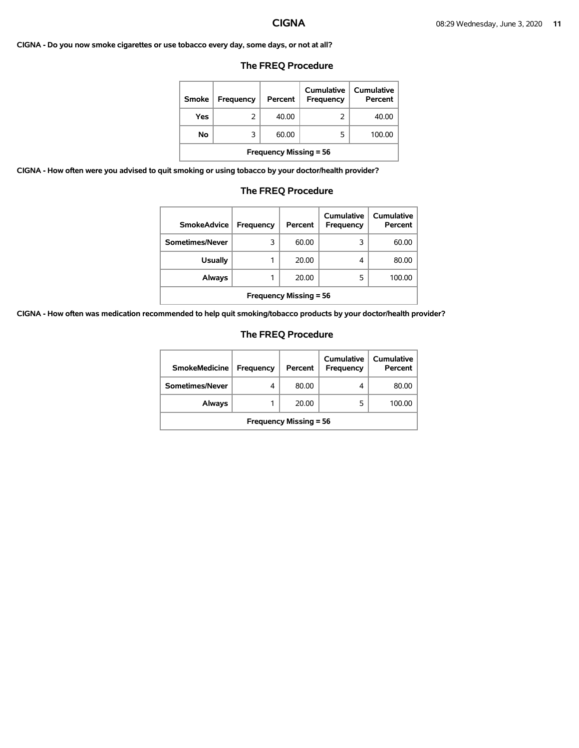**CIGNA - Do you now smoke cigarettes or use tobacco every day, some days, or not at all?** 

### **The FREQ Procedure**

| <b>Smoke</b>                  | <b>Frequency</b> | Percent | Cumulative<br>Frequency | Cumulative<br>Percent |  |
|-------------------------------|------------------|---------|-------------------------|-----------------------|--|
| Yes                           | 2                | 40.00   | 2                       | 40.00                 |  |
| No                            | 3                | 60.00   | 5                       | 100.00                |  |
| <b>Frequency Missing = 56</b> |                  |         |                         |                       |  |

**CIGNA - How often were you advised to quit smoking or using tobacco by your doctor/health provider?** 

### **The FREQ Procedure**

| <b>SmokeAdvice</b>            | Frequency | Percent | Cumulative<br>Frequency | Cumulative<br>Percent |  |
|-------------------------------|-----------|---------|-------------------------|-----------------------|--|
| Sometimes/Never               | 3         | 60.00   | 3                       | 60.00                 |  |
| <b>Usually</b>                |           | 20.00   | 4                       | 80.00                 |  |
| Always                        |           | 20.00   | 5                       | 100.00                |  |
| <b>Frequency Missing = 56</b> |           |         |                         |                       |  |

**CIGNA - How often was medication recommended to help quit smoking/tobacco products by your doctor/health provider?** 

| <b>SmokeMedicine</b>          | Frequency | Percent | Cumulative<br>Frequency | Cumulative<br>Percent |  |
|-------------------------------|-----------|---------|-------------------------|-----------------------|--|
| Sometimes/Never               | 4         | 80.00   | 4                       | 80.00                 |  |
| Always                        |           | 20.00   | 5                       | 100.00                |  |
| <b>Frequency Missing = 56</b> |           |         |                         |                       |  |